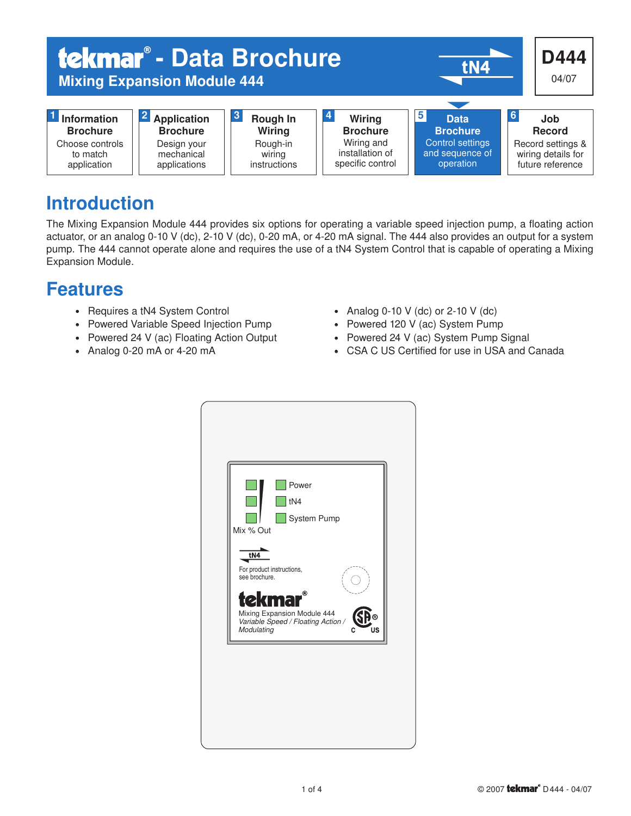

# Introduction

The Mixing Expansion Module 444 provides six options for operating a variable speed injection pump, a floating action actuator, or an analog 0-10 V (dc), 2-10 V (dc), 0-20 mA, or 4-20 mA signal. The 444 also provides an output for a system pump. The 444 cannot operate alone and requires the use of a tN4 System Control that is capable of operating a Mixing Expansion Module.

# Features

- Requires a tN4 System Control
- Powered Variable Speed Injection Pump
- Powered 24 V (ac) Floating Action Output
- Analog 0-20 mA or 4-20 mA
- Analog 0-10 V (dc) or 2-10 V (dc)
- Powered 120 V (ac) System Pump
- Powered 24 V (ac) System Pump Signal
- CSA C US Certified for use in USA and Canada

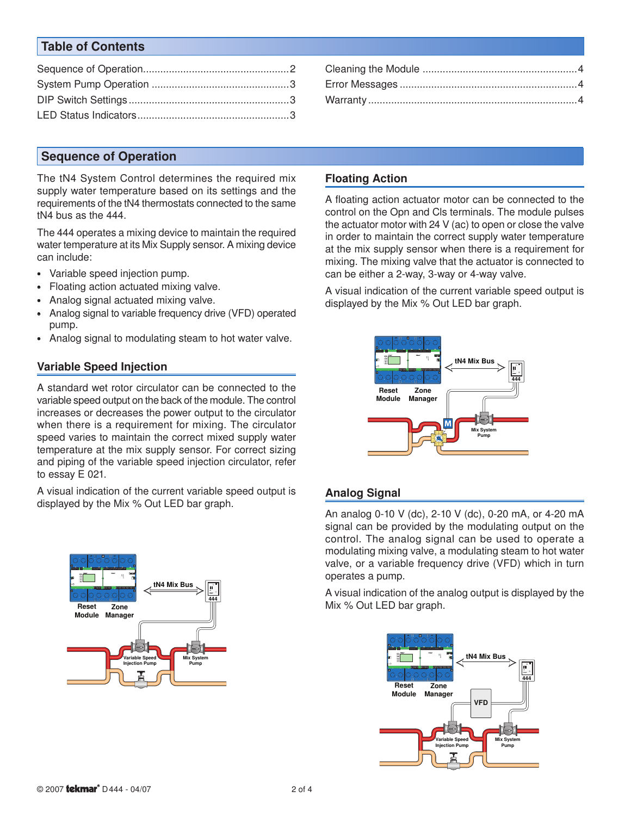# Table of Contents

## Sequence of Operation

The tN4 System Control determines the required mix supply water temperature based on its settings and the requirements of the tN4 thermostats connected to the same tN4 bus as the 444.

The 444 operates a mixing device to maintain the required water temperature at its Mix Supply sensor. A mixing device can include:

- Variable speed injection pump.
- Floating action actuated mixing valve.
- Analog signal actuated mixing valve.
- Analog signal to variable frequency drive (VFD) operated pump.
- Analog signal to modulating steam to hot water valve.

#### Variable Speed Injection

A standard wet rotor circulator can be connected to the variable speed output on the back of the module. The control increases or decreases the power output to the circulator when there is a requirement for mixing. The circulator speed varies to maintain the correct mixed supply water temperature at the mix supply sensor. For correct sizing and piping of the variable speed injection circulator, refer to essay E 021.

A visual indication of the current variable speed output is displayed by the Mix % Out LED bar graph.



### Floating Action

A floating action actuator motor can be connected to the control on the Opn and Cls terminals. The module pulses the actuator motor with 24 V (ac) to open or close the valve in order to maintain the correct supply water temperature at the mix supply sensor when there is a requirement for mixing. The mixing valve that the actuator is connected to can be either a 2-way, 3-way or 4-way valve.

A visual indication of the current variable speed output is displayed by the Mix % Out LED bar graph.



### Analog Signal

An analog 0-10 V (dc), 2-10 V (dc), 0-20 mA, or 4-20 mA signal can be provided by the modulating output on the control. The analog signal can be used to operate a modulating mixing valve, a modulating steam to hot water valve, or a variable frequency drive (VFD) which in turn operates a pump.

A visual indication of the analog output is displayed by the Mix % Out LED bar graph.

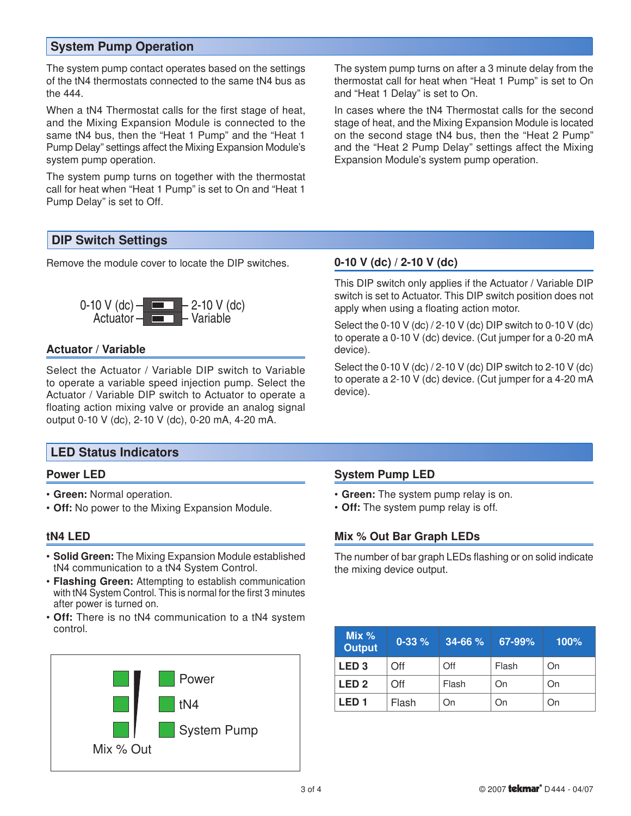## System Pump Operation

The system pump contact operates based on the settings of the tN4 thermostats connected to the same tN4 bus as the 444.

When a tN4 Thermostat calls for the first stage of heat, and the Mixing Expansion Module is connected to the same tN4 bus, then the "Heat 1 Pump" and the "Heat 1 Pump Delay" settings affect the Mixing Expansion Module's system pump operation.

The system pump turns on together with the thermostat call for heat when "Heat 1 Pump" is set to On and "Heat 1 Pump Delay" is set to Off.

The system pump turns on after a 3 minute delay from the thermostat call for heat when "Heat 1 Pump" is set to On and "Heat 1 Delay" is set to On.

In cases where the tN4 Thermostat calls for the second stage of heat, and the Mixing Expansion Module is located on the second stage tN4 bus, then the "Heat 2 Pump" and the "Heat 2 Pump Delay" settings affect the Mixing Expansion Module's system pump operation.

## DIP Switch Settings

Remove the module cover to locate the DIP switches.



#### Actuator / Variable

Select the Actuator / Variable DIP switch to Variable to operate a variable speed injection pump. Select the Actuator / Variable DIP switch to Actuator to operate a floating action mixing valve or provide an analog signal output 0-10 V (dc), 2-10 V (dc), 0-20 mA, 4-20 mA.

### LED Status Indicators

#### Power LED

- Green: Normal operation.
- Off: No power to the Mixing Expansion Module.

#### tN4 LED

- Solid Green: The Mixing Expansion Module established tN4 communication to a tN4 System Control.
- Flashing Green: Attempting to establish communication with tN4 System Control. This is normal for the first 3 minutes after power is turned on.
- Off: There is no tN4 communication to a tN4 system control.



#### 0-10 V (dc) / 2-10 V (dc)

This DIP switch only applies if the Actuator / Variable DIP switch is set to Actuator. This DIP switch position does not apply when using a floating action motor.

Select the 0-10 V (dc) / 2-10 V (dc) DIP switch to 0-10 V (dc) to operate a 0-10 V (dc) device. (Cut jumper for a 0-20 mA device).

Select the 0-10 V (dc) / 2-10 V (dc) DIP switch to 2-10 V (dc) to operate a 2-10 V (dc) device. (Cut jumper for a 4-20 mA device).

#### System Pump LED

- Green: The system pump relay is on.
- Off: The system pump relay is off.

### Mix % Out Bar Graph LEDs

The number of bar graph LEDs flashing or on solid indicate the mixing device output.

| Mix $%$<br><b>Output</b> | $0 - 33 %$          | $34 - 66%$ | 67-99% | 100% |
|--------------------------|---------------------|------------|--------|------|
| LED <sub>3</sub>         | ∩ff                 | Off        | Flash  | On   |
| LED <sub>2</sub>         | $\bigcap_{i=1}^{n}$ | Flash      | On     | On   |
| <b>LED1</b>              | Flash               | On         | On     | On   |